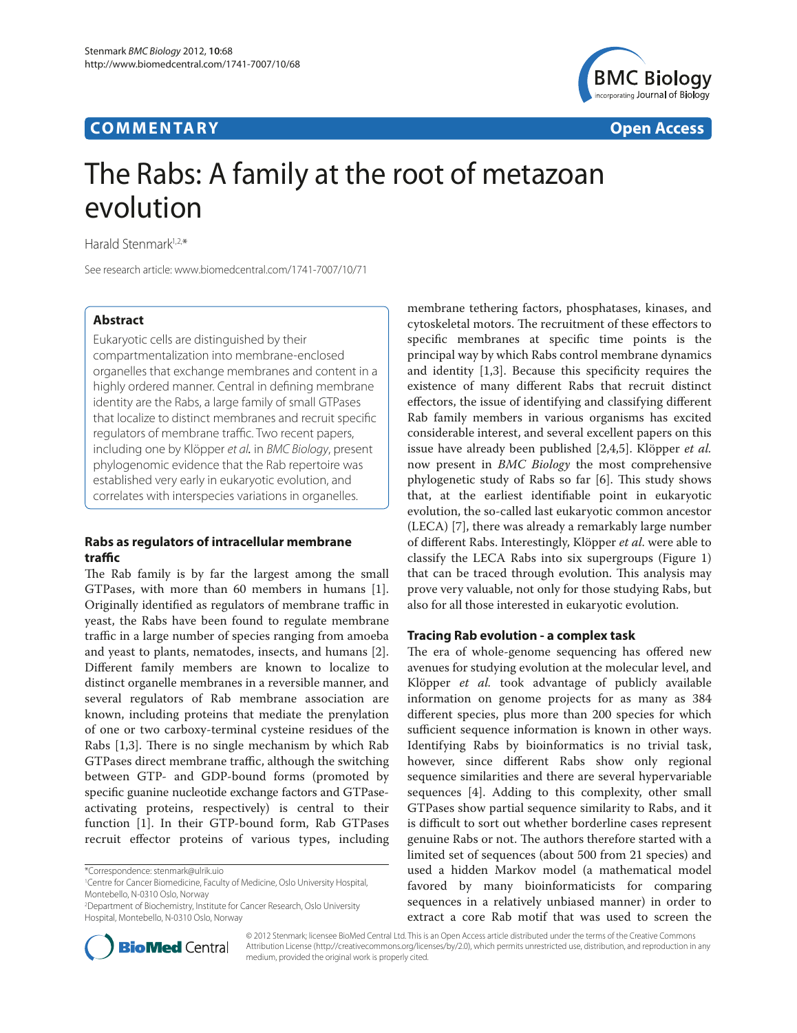# **COMMENTARY COMMENTARY COMMENTARY**



# The Rabs: A family at the root of metazoan evolution

Harald Stenmark1,2,\*

See research article: www.biomedcentral.com/1741-7007/10/71

## **Abstract**

Eukaryotic cells are distinguished by their compartmentalization into membrane-enclosed organelles that exchange membranes and content in a highly ordered manner. Central in defining membrane identity are the Rabs, a large family of small GTPases that localize to distinct membranes and recruit specific regulators of membrane traffic. Two recent papers, including one by Klöpper et al. in BMC Biology, present phylogenomic evidence that the Rab repertoire was established very early in eukaryotic evolution, and correlates with interspecies variations in organelles.

## **Rabs as regulators of intracellular membrane traffi c**

The Rab family is by far the largest among the small GTPases, with more than 60 members in humans [1]. Originally identified as regulators of membrane traffic in yeast, the Rabs have been found to regulate membrane traffic in a large number of species ranging from amoeba and yeast to plants, nematodes, insects, and humans [2]. Different family members are known to localize to distinct organelle membranes in a reversible manner, and several regulators of Rab membrane association are known, including proteins that mediate the prenylation of one or two carboxy-terminal cysteine residues of the Rabs [1,3]. There is no single mechanism by which Rab GTPases direct membrane traffic, although the switching between GTP- and GDP-bound forms (promoted by specific guanine nucleotide exchange factors and GTPaseactivating proteins, respectively) is central to their function [1]. In their GTP-bound form, Rab GTPases recruit effector proteins of various types, including

membrane tethering factors, phosphatases, kinases, and cytoskeletal motors. The recruitment of these effectors to specific membranes at specific time points is the principal way by which Rabs control membrane dynamics and identity  $[1,3]$ . Because this specificity requires the existence of many different Rabs that recruit distinct effectors, the issue of identifying and classifying different Rab family members in various organisms has excited considerable interest, and several excellent papers on this issue have already been published [2,4,5]. Klöpper *et al.* now present in *BMC Biology* the most comprehensive phylogenetic study of Rabs so far [6]. This study shows that, at the earliest identifiable point in eukaryotic evolution, the so-called last eukaryotic common ancestor (LECA) [7], there was already a remarkably large number of different Rabs. Interestingly, Klöpper *et al.* were able to classify the LECA Rabs into six supergroups (Figure 1) that can be traced through evolution. This analysis may prove very valuable, not only for those studying Rabs, but also for all those interested in eukaryotic evolution.

#### **Tracing Rab evolution - a complex task**

The era of whole-genome sequencing has offered new avenues for studying evolution at the molecular level, and Klöpper *et al.* took advantage of publicly available information on genome projects for as many as 384 different species, plus more than 200 species for which sufficient sequence information is known in other ways. Identifying Rabs by bioinformatics is no trivial task, however, since different Rabs show only regional sequence similarities and there are several hypervariable sequences [4]. Adding to this complexity, other small GTPases show partial sequence similarity to Rabs, and it is difficult to sort out whether borderline cases represent genuine Rabs or not. The authors therefore started with a limited set of sequences (about 500 from 21 species) and used a hidden Markov model (a mathematical model favored by many bioinformaticists for comparing sequences in a relatively unbiased manner) in order to extract a core Rab motif that was used to screen the



© 2012 Stenmark; licensee BioMed Central Ltd. This is an Open Access article distributed under the terms of the Creative Commons Attribution License (http://creativecommons.org/licenses/by/2.0), which permits unrestricted use, distribution, and reproduction in any medium, provided the original work is properly cited.

<sup>\*</sup>Correspondence: stenmark@ulrik.uio

<sup>1</sup> Centre for Cancer Biomedicine, Faculty of Medicine, Oslo University Hospital, Montebello, N-0310 Oslo, Norway

<sup>2</sup> Department of Biochemistry, Institute for Cancer Research, Oslo University Hospital, Montebello, N-0310 Oslo, Norway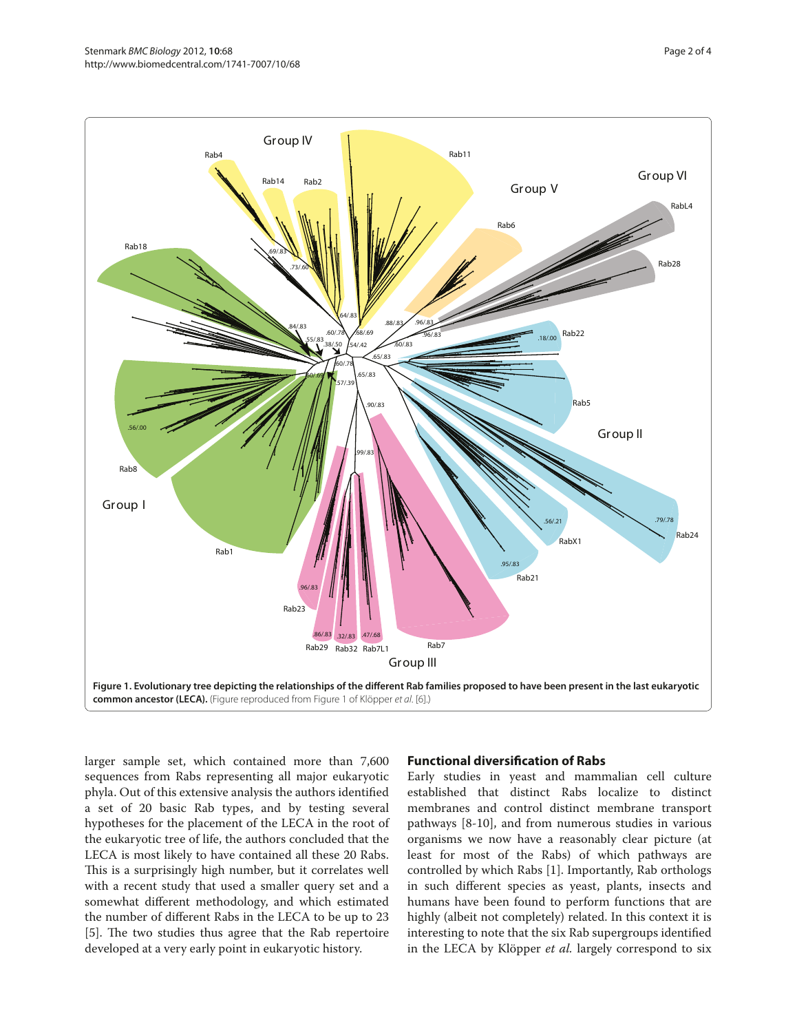

larger sample set, which contained more than 7,600 sequences from Rabs representing all major eukaryotic phyla. Out of this extensive analysis the authors identified a set of 20 basic Rab types, and by testing several hypotheses for the placement of the LECA in the root of the eukaryotic tree of life, the authors concluded that the LECA is most likely to have contained all these 20 Rabs. This is a surprisingly high number, but it correlates well with a recent study that used a smaller query set and a somewhat different methodology, and which estimated the number of different Rabs in the LECA to be up to 23 [5]. The two studies thus agree that the Rab repertoire developed at a very early point in eukaryotic history.

#### **Functional diversification of Rabs**

Early studies in yeast and mammalian cell culture established that distinct Rabs localize to distinct membranes and control distinct membrane transport pathways [8-10], and from numerous studies in various organisms we now have a reasonably clear picture (at least for most of the Rabs) of which pathways are controlled by which Rabs [1]. Importantly, Rab orthologs in such different species as yeast, plants, insects and humans have been found to perform functions that are highly (albeit not completely) related. In this context it is interesting to note that the six Rab supergroups identified in the LECA by Klöpper *et al.* largely correspond to six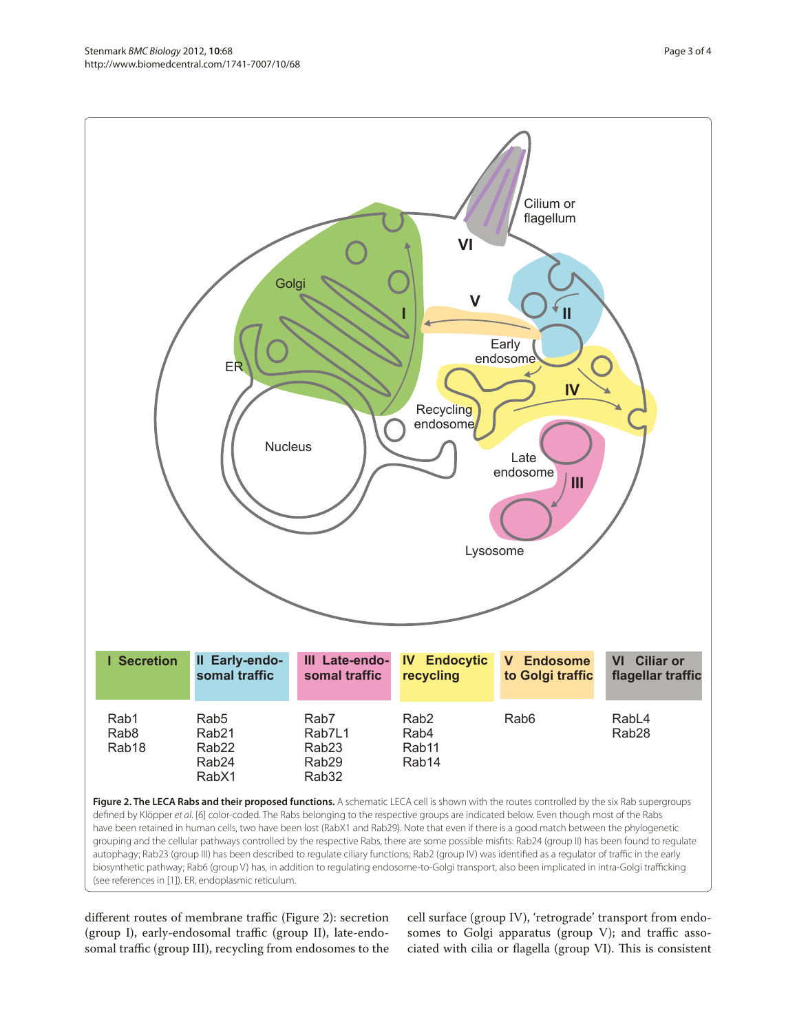

(see references in [1]). ER, endoplasmic reticulum.

different routes of membrane traffic (Figure 2): secretion (group I), early-endosomal traffic (group II), late-endosomal traffic (group III), recycling from endosomes to the

cell surface (group IV), 'retrograde' transport from endosomes to Golgi apparatus (group V); and traffic associated with cilia or flagella (group VI). This is consistent